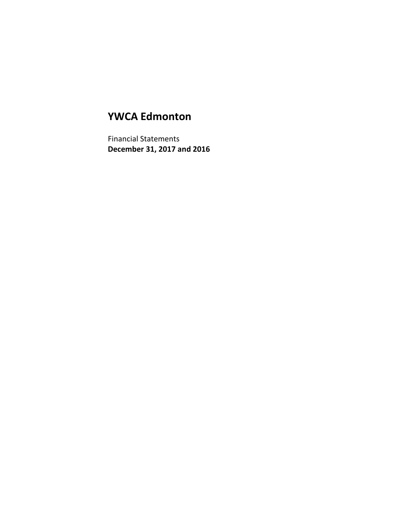Financial Statements **December 31, 2017 and 2016**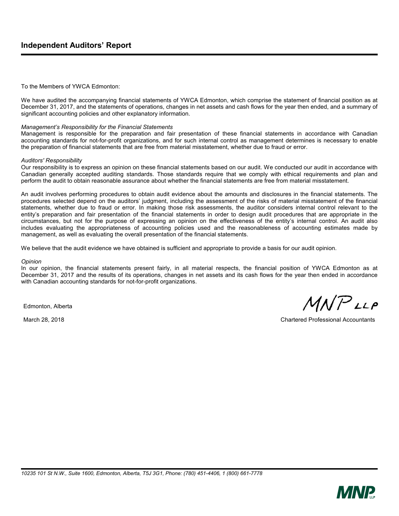#### To the Members of YWCA Edmonton:

We have audited the accompanying financial statements of YWCA Edmonton, which comprise the statement of financial position as at December 31, 2017, and the statements of operations, changes in net assets and cash flows for the year then ended, and a summary of significant accounting policies and other explanatory information.

#### *Management's Responsibility for the Financial Statements*

Management is responsible for the preparation and fair presentation of these financial statements in accordance with Canadian accounting standards for not-for-profit organizations, and for such internal control as management determines is necessary to enable the preparation of financial statements that are free from material misstatement, whether due to fraud or error.

#### *Auditors' Responsibility*

Our responsibility is to express an opinion on these financial statements based on our audit. We conducted our audit in accordance with Canadian generally accepted auditing standards. Those standards require that we comply with ethical requirements and plan and perform the audit to obtain reasonable assurance about whether the financial statements are free from material misstatement.

An audit involves performing procedures to obtain audit evidence about the amounts and disclosures in the financial statements. The procedures selected depend on the auditors' judgment, including the assessment of the risks of material misstatement of the financial statements, whether due to fraud or error. In making those risk assessments, the auditor considers internal control relevant to the entity's preparation and fair presentation of the financial statements in order to design audit procedures that are appropriate in the circumstances, but not for the purpose of expressing an opinion on the effectiveness of the entity's internal control. An audit also includes evaluating the appropriateness of accounting policies used and the reasonableness of accounting estimates made by management, as well as evaluating the overall presentation of the financial statements.

We believe that the audit evidence we have obtained is sufficient and appropriate to provide a basis for our audit opinion.

#### *Opinion*

In our opinion, the financial statements present fairly, in all material respects, the financial position of YWCA Edmonton as at December 31, 2017 and the results of its operations, changes in net assets and its cash flows for the year then ended in accordance with Canadian accounting standards for not-for-profit organizations.

Edmonton, Alberta

 $MNPLLP$ 

March 28, 2018 Chartered Professional Accountants

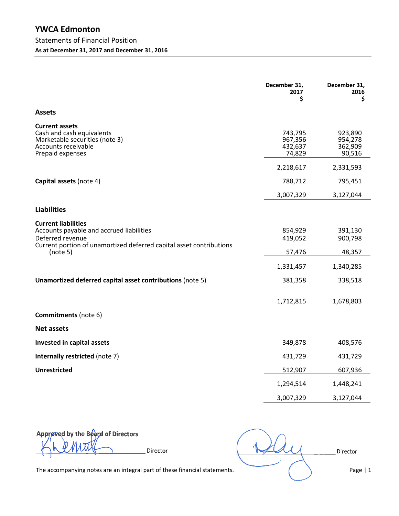|                                                                                                                                                                               | December 31,<br>2017<br>\$              | December 31,<br>2016<br>\$              |
|-------------------------------------------------------------------------------------------------------------------------------------------------------------------------------|-----------------------------------------|-----------------------------------------|
| <b>Assets</b>                                                                                                                                                                 |                                         |                                         |
| <b>Current assets</b><br>Cash and cash equivalents<br>Marketable securities (note 3)<br>Accounts receivable<br>Prepaid expenses                                               | 743,795<br>967,356<br>432,637<br>74,829 | 923,890<br>954,278<br>362,909<br>90,516 |
|                                                                                                                                                                               | 2,218,617                               | 2,331,593                               |
| Capital assets (note 4)                                                                                                                                                       | 788,712                                 | 795,451                                 |
|                                                                                                                                                                               | 3,007,329                               | 3,127,044                               |
| <b>Liabilities</b>                                                                                                                                                            |                                         |                                         |
| <b>Current liabilities</b><br>Accounts payable and accrued liabilities<br>Deferred revenue<br>Current portion of unamortized deferred capital asset contributions<br>(note 5) | 854,929<br>419,052<br>57,476            | 391,130<br>900,798<br>48,357            |
|                                                                                                                                                                               | 1,331,457                               | 1,340,285                               |
| Unamortized deferred capital asset contributions (note 5)                                                                                                                     | 381,358                                 | 338,518                                 |
|                                                                                                                                                                               | 1,712,815                               | 1,678,803                               |
| <b>Commitments</b> (note 6)                                                                                                                                                   |                                         |                                         |
| <b>Net assets</b>                                                                                                                                                             |                                         |                                         |
| Invested in capital assets                                                                                                                                                    | 349,878                                 | 408,576                                 |
| Internally restricted (note 7)                                                                                                                                                | 431,729                                 | 431,729                                 |
| <b>Unrestricted</b>                                                                                                                                                           | 512,907                                 | 607,936                                 |
|                                                                                                                                                                               | 1,294,514                               | 1,448,241                               |
|                                                                                                                                                                               | 3,007,329                               | 3,127,044                               |

Approved by the Board of Directors

Da Director

The accompanying notes are an integral part of these financial statements.  $\left(\begin{array}{c} \searrow \\ \searrow \end{array}\right)$  Page | 1

Director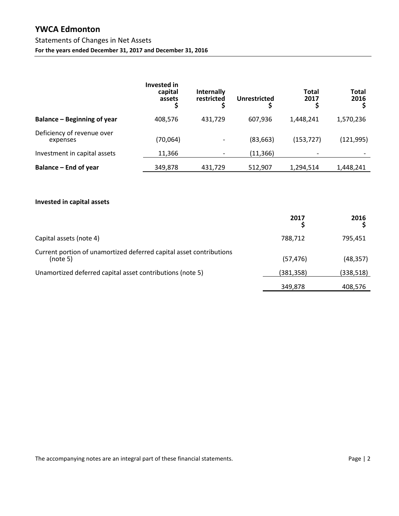# Statements of Changes in Net Assets

**For the years ended December 31, 2017 and December 31, 2016**

|                                        | Invested in<br>capital<br>assets | <b>Internally</b><br>restricted | Unrestricted | Total<br>2017 | Total<br>2016 |
|----------------------------------------|----------------------------------|---------------------------------|--------------|---------------|---------------|
| Balance – Beginning of year            | 408,576                          | 431,729                         | 607,936      | 1,448,241     | 1,570,236     |
| Deficiency of revenue over<br>expenses | (70,064)                         |                                 | (83, 663)    | (153, 727)    | (121, 995)    |
| Investment in capital assets           | 11,366                           |                                 | (11, 366)    |               |               |
| Balance – End of year                  | 349,878                          | 431.729                         | 512,907      | 1,294,514     | 1,448,241     |

## **Invested in capital assets**

|                                                                                 | 2017      | 2016      |
|---------------------------------------------------------------------------------|-----------|-----------|
| Capital assets (note 4)                                                         | 788,712   | 795,451   |
| Current portion of unamortized deferred capital asset contributions<br>(note 5) | (57, 476) | (48, 357) |
| Unamortized deferred capital asset contributions (note 5)                       | (381,358) | (338,518) |
|                                                                                 | 349,878   | 408,576   |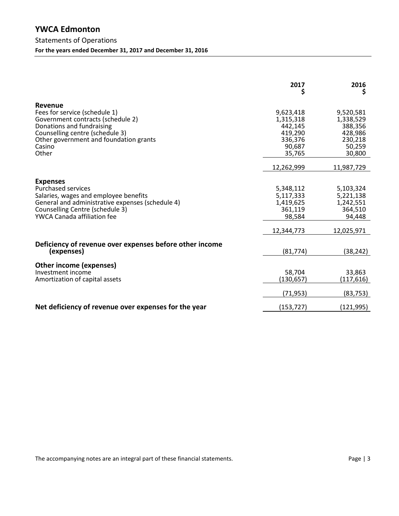# **YWCA Edmonton**  Statements of Operations **For the years ended December 31, 2017 and December 31, 2016**

|                                                                                                                                                                                                                    | 2017<br>Ş                                                                   | 2016<br>\$                                                                  |
|--------------------------------------------------------------------------------------------------------------------------------------------------------------------------------------------------------------------|-----------------------------------------------------------------------------|-----------------------------------------------------------------------------|
| <b>Revenue</b><br>Fees for service (schedule 1)<br>Government contracts (schedule 2)<br>Donations and fundraising<br>Counselling centre (schedule 3)<br>Other government and foundation grants<br>Casino<br>Other  | 9,623,418<br>1,315,318<br>442.145<br>419,290<br>336,376<br>90,687<br>35,765 | 9,520,581<br>1,338,529<br>388,356<br>428,986<br>230,218<br>50,259<br>30,800 |
|                                                                                                                                                                                                                    | 12,262,999                                                                  | 11,987,729                                                                  |
| <b>Expenses</b><br><b>Purchased services</b><br>Salaries, wages and employee benefits<br>General and administrative expenses (schedule 4)<br>Counselling Centre (schedule 3)<br><b>YWCA Canada affiliation fee</b> | 5,348,112<br>5,117,333<br>1,419,625<br>361,119<br>98,584                    | 5,103,324<br>5,221,138<br>1,242,551<br>364,510<br>94,448                    |
|                                                                                                                                                                                                                    | 12,344,773                                                                  | 12,025,971                                                                  |
| Deficiency of revenue over expenses before other income<br>(expenses)                                                                                                                                              | (81, 774)                                                                   | (38,242)                                                                    |
| Other income (expenses)<br>Investment income<br>Amortization of capital assets                                                                                                                                     | 58,704<br>(130,657)                                                         | 33,863<br>(117, 616)                                                        |
| Net deficiency of revenue over expenses for the year                                                                                                                                                               | (71,953)<br>(153, 727)                                                      | (83,753)<br>(121, 995)                                                      |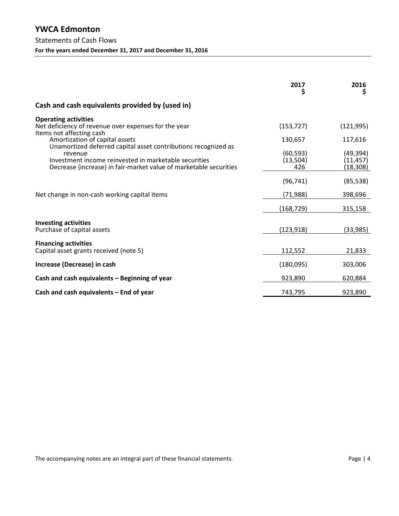|                                                                                                                                                                                                         | 2017<br>Ş                    | 2016<br>Ş                          |
|---------------------------------------------------------------------------------------------------------------------------------------------------------------------------------------------------------|------------------------------|------------------------------------|
| Cash and cash equivalents provided by (used in)                                                                                                                                                         |                              |                                    |
| <b>Operating activities</b><br>Net deficiency of revenue over expenses for the year                                                                                                                     | (153, 727)                   | (121, 995)                         |
| Items not affecting cash<br>Amortization of capital assets                                                                                                                                              | 130,657                      | 117,616                            |
| Unamortized deferred capital asset contributions recognized as<br>revenue<br>Investment income reinvested in marketable securities<br>Decrease (increase) in fair-market value of marketable securities | (60, 593)<br>(13,504)<br>426 | (49, 394)<br>(11, 457)<br>(18,308) |
|                                                                                                                                                                                                         | (96, 741)                    | (85, 538)                          |
| Net change in non-cash working capital items                                                                                                                                                            | (71,988)                     | 398,696                            |
|                                                                                                                                                                                                         | (168,729)                    | 315,158                            |
| <b>Investing activities</b><br>Purchase of capital assets                                                                                                                                               | (123, 918)                   | (33, 985)                          |
| <b>Financing activities</b><br>Capital asset grants received (note 5)                                                                                                                                   | 112,552                      | 21,833                             |
| Increase (Decrease) in cash                                                                                                                                                                             | (180,095)                    | 303,006                            |
| Cash and cash equivalents - Beginning of year                                                                                                                                                           | 923,890                      | 620,884                            |
| Cash and cash equivalents – End of year                                                                                                                                                                 | 743,795                      | 923,890                            |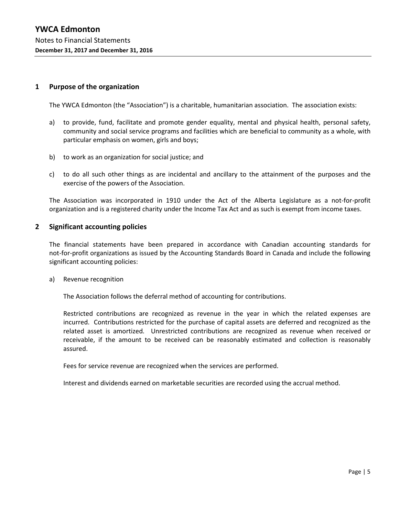#### **1 Purpose of the organization**

The YWCA Edmonton (the "Association") is a charitable, humanitarian association. The association exists:

- a) to provide, fund, facilitate and promote gender equality, mental and physical health, personal safety, community and social service programs and facilities which are beneficial to community as a whole, with particular emphasis on women, girls and boys;
- b) to work as an organization for social justice; and
- c) to do all such other things as are incidental and ancillary to the attainment of the purposes and the exercise of the powers of the Association.

The Association was incorporated in 1910 under the Act of the Alberta Legislature as a not-for-profit organization and is a registered charity under the Income Tax Act and as such is exempt from income taxes.

#### **2 Significant accounting policies**

The financial statements have been prepared in accordance with Canadian accounting standards for not-for-profit organizations as issued by the Accounting Standards Board in Canada and include the following significant accounting policies:

a) Revenue recognition

The Association follows the deferral method of accounting for contributions.

Restricted contributions are recognized as revenue in the year in which the related expenses are incurred. Contributions restricted for the purchase of capital assets are deferred and recognized as the related asset is amortized. Unrestricted contributions are recognized as revenue when received or receivable, if the amount to be received can be reasonably estimated and collection is reasonably assured.

Fees for service revenue are recognized when the services are performed.

Interest and dividends earned on marketable securities are recorded using the accrual method.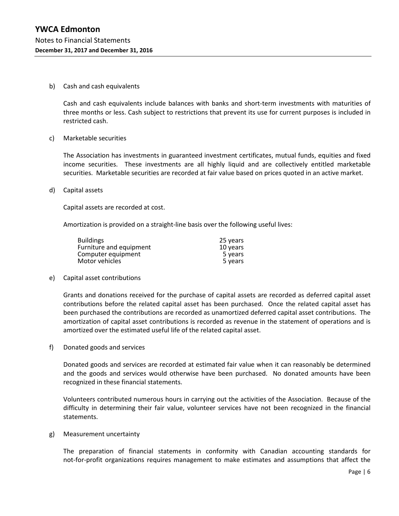#### b) Cash and cash equivalents

Cash and cash equivalents include balances with banks and short-term investments with maturities of three months or less. Cash subject to restrictions that prevent its use for current purposes is included in restricted cash.

#### c) Marketable securities

The Association has investments in guaranteed investment certificates, mutual funds, equities and fixed income securities. These investments are all highly liquid and are collectively entitled marketable securities. Marketable securities are recorded at fair value based on prices quoted in an active market.

#### d) Capital assets

Capital assets are recorded at cost.

Amortization is provided on a straight-line basis over the following useful lives:

| <b>Buildings</b>        | 25 years |
|-------------------------|----------|
| Furniture and equipment | 10 years |
| Computer equipment      | 5 years  |
| Motor vehicles          | 5 years  |

#### e) Capital asset contributions

Grants and donations received for the purchase of capital assets are recorded as deferred capital asset contributions before the related capital asset has been purchased. Once the related capital asset has been purchased the contributions are recorded as unamortized deferred capital asset contributions. The amortization of capital asset contributions is recorded as revenue in the statement of operations and is amortized over the estimated useful life of the related capital asset.

f) Donated goods and services

Donated goods and services are recorded at estimated fair value when it can reasonably be determined and the goods and services would otherwise have been purchased. No donated amounts have been recognized in these financial statements.

Volunteers contributed numerous hours in carrying out the activities of the Association. Because of the difficulty in determining their fair value, volunteer services have not been recognized in the financial statements.

g) Measurement uncertainty

The preparation of financial statements in conformity with Canadian accounting standards for not-for-profit organizations requires management to make estimates and assumptions that affect the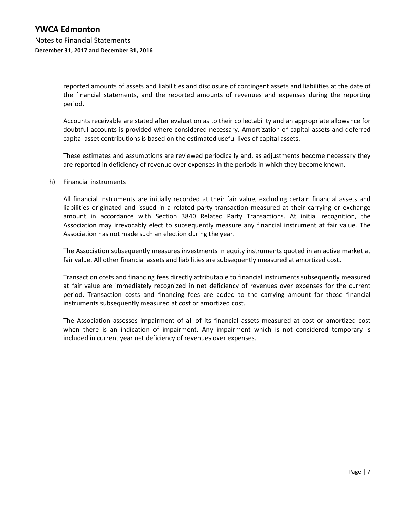reported amounts of assets and liabilities and disclosure of contingent assets and liabilities at the date of the financial statements, and the reported amounts of revenues and expenses during the reporting period.

Accounts receivable are stated after evaluation as to their collectability and an appropriate allowance for doubtful accounts is provided where considered necessary. Amortization of capital assets and deferred capital asset contributions is based on the estimated useful lives of capital assets.

These estimates and assumptions are reviewed periodically and, as adjustments become necessary they are reported in deficiency of revenue over expenses in the periods in which they become known.

#### h) Financial instruments

All financial instruments are initially recorded at their fair value, excluding certain financial assets and liabilities originated and issued in a related party transaction measured at their carrying or exchange amount in accordance with Section 3840 Related Party Transactions. At initial recognition, the Association may irrevocably elect to subsequently measure any financial instrument at fair value. The Association has not made such an election during the year.

The Association subsequently measures investments in equity instruments quoted in an active market at fair value. All other financial assets and liabilities are subsequently measured at amortized cost.

Transaction costs and financing fees directly attributable to financial instruments subsequently measured at fair value are immediately recognized in net deficiency of revenues over expenses for the current period. Transaction costs and financing fees are added to the carrying amount for those financial instruments subsequently measured at cost or amortized cost.

The Association assesses impairment of all of its financial assets measured at cost or amortized cost when there is an indication of impairment. Any impairment which is not considered temporary is included in current year net deficiency of revenues over expenses.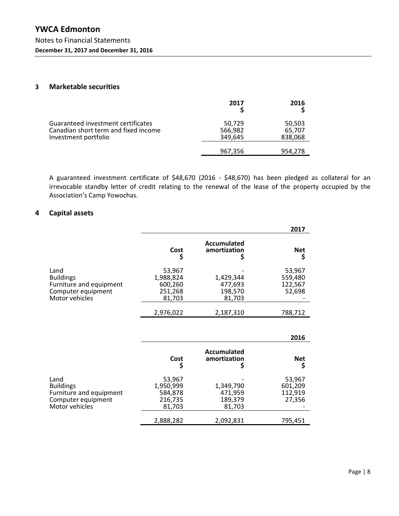### **3 Marketable securities**

|                                                                                                    | 2017                         | 2016                        |
|----------------------------------------------------------------------------------------------------|------------------------------|-----------------------------|
| Guaranteed investment certificates<br>Canadian short term and fixed income<br>Investment portfolio | 50,729<br>566,982<br>349.645 | 50,503<br>65,707<br>838,068 |
|                                                                                                    | 967,356                      | 954,278                     |

A guaranteed investment certificate of \$48,670 (2016 - \$48,670) has been pledged as collateral for an irrevocable standby letter of credit relating to the renewal of the lease of the property occupied by the Association's Camp Yowochas.

## **4 Capital assets**

|                                                                           |                                           |                                 | 2017                                   |
|---------------------------------------------------------------------------|-------------------------------------------|---------------------------------|----------------------------------------|
|                                                                           | Cost                                      | Accumulated<br>amortization     | <b>Net</b>                             |
| Land<br><b>Buildings</b><br>Furniture and equipment<br>Computer equipment | 53,967<br>1,988,824<br>600,260<br>251,268 | 1,429,344<br>477,693<br>198,570 | 53,967<br>559,480<br>122,567<br>52,698 |
| Motor vehicles                                                            | 81,703<br>2,976,022                       | 81,703<br>2,187,310             | 788,712                                |

|                                                                                             |                                                     |                                           | 2016                                   |
|---------------------------------------------------------------------------------------------|-----------------------------------------------------|-------------------------------------------|----------------------------------------|
|                                                                                             | Cost                                                | Accumulated<br>amortization               | <b>Net</b><br>\$                       |
| Land<br><b>Buildings</b><br>Furniture and equipment<br>Computer equipment<br>Motor vehicles | 53,967<br>1,950,999<br>584,878<br>216,735<br>81,703 | 1,349,790<br>471,959<br>189,379<br>81,703 | 53,967<br>601,209<br>112,919<br>27,356 |
|                                                                                             | 2,888,282                                           | 2,092,831                                 | 795,451                                |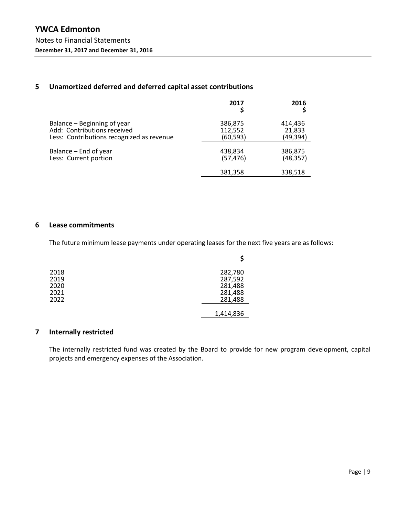## **5 Unamortized deferred and deferred capital asset contributions**

|                                           | 2017      | 2016      |
|-------------------------------------------|-----------|-----------|
| Balance – Beginning of year               | 386,875   | 414,436   |
| Add: Contributions received               | 112,552   | 21,833    |
| Less: Contributions recognized as revenue | (60, 593) | (49,394)  |
| Balance – End of year                     | 438,834   | 386,875   |
| Less: Current portion                     | (57, 476) | (48, 357) |
|                                           | 381,358   | 338,518   |

#### **6 Lease commitments**

The future minimum lease payments under operating leases for the next five years are as follows:

| 2018 | 282,780   |
|------|-----------|
| 2019 | 287,592   |
| 2020 | 281,488   |
| 2021 | 281,488   |
| 2022 | 281,488   |
|      | 1,414,836 |
|      |           |

### **7 Internally restricted**

The internally restricted fund was created by the Board to provide for new program development, capital projects and emergency expenses of the Association.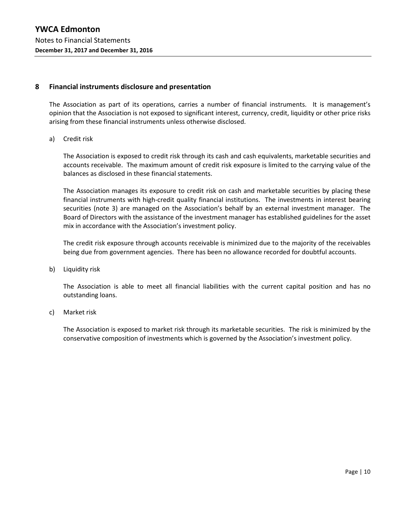#### **8 Financial instruments disclosure and presentation**

The Association as part of its operations, carries a number of financial instruments. It is management's opinion that the Association is not exposed to significant interest, currency, credit, liquidity or other price risks arising from these financial instruments unless otherwise disclosed.

a) Credit risk

The Association is exposed to credit risk through its cash and cash equivalents, marketable securities and accounts receivable. The maximum amount of credit risk exposure is limited to the carrying value of the balances as disclosed in these financial statements.

The Association manages its exposure to credit risk on cash and marketable securities by placing these financial instruments with high-credit quality financial institutions. The investments in interest bearing securities (note 3) are managed on the Association's behalf by an external investment manager. The Board of Directors with the assistance of the investment manager has established guidelines for the asset mix in accordance with the Association's investment policy.

The credit risk exposure through accounts receivable is minimized due to the majority of the receivables being due from government agencies. There has been no allowance recorded for doubtful accounts.

b) Liquidity risk

The Association is able to meet all financial liabilities with the current capital position and has no outstanding loans.

c) Market risk

The Association is exposed to market risk through its marketable securities. The risk is minimized by the conservative composition of investments which is governed by the Association's investment policy.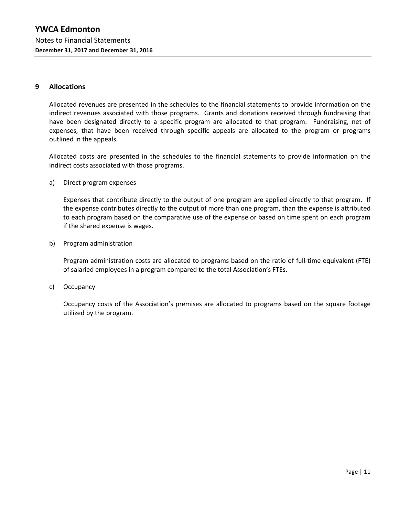### **9 Allocations**

Allocated revenues are presented in the schedules to the financial statements to provide information on the indirect revenues associated with those programs. Grants and donations received through fundraising that have been designated directly to a specific program are allocated to that program. Fundraising, net of expenses, that have been received through specific appeals are allocated to the program or programs outlined in the appeals.

Allocated costs are presented in the schedules to the financial statements to provide information on the indirect costs associated with those programs.

a) Direct program expenses

Expenses that contribute directly to the output of one program are applied directly to that program. If the expense contributes directly to the output of more than one program, than the expense is attributed to each program based on the comparative use of the expense or based on time spent on each program if the shared expense is wages.

b) Program administration

Program administration costs are allocated to programs based on the ratio of full-time equivalent (FTE) of salaried employees in a program compared to the total Association's FTEs.

c) Occupancy

Occupancy costs of the Association's premises are allocated to programs based on the square footage utilized by the program.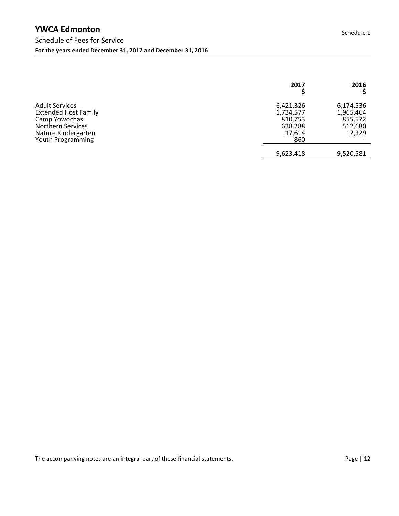|                                                                                                                                               | 2017                                                          | 2016                                                   |
|-----------------------------------------------------------------------------------------------------------------------------------------------|---------------------------------------------------------------|--------------------------------------------------------|
| <b>Adult Services</b><br><b>Extended Host Family</b><br>Camp Yowochas<br><b>Northern Services</b><br>Nature Kindergarten<br>Youth Programming | 6,421,326<br>1,734,577<br>810.753<br>638,288<br>17,614<br>860 | 6,174,536<br>1,965,464<br>855,572<br>512,680<br>12,329 |
|                                                                                                                                               | 9,623,418                                                     | 9,520,581                                              |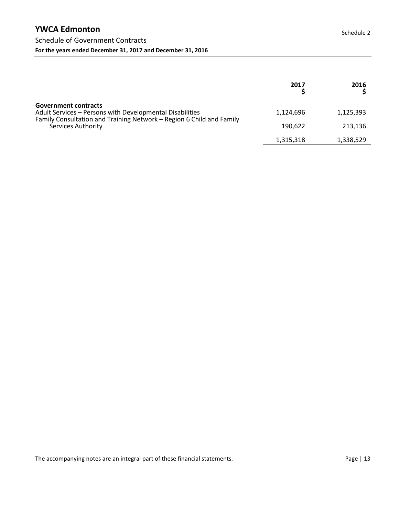|                                                                                                                                                                                       | 2017      | 2016      |
|---------------------------------------------------------------------------------------------------------------------------------------------------------------------------------------|-----------|-----------|
| <b>Government contracts</b><br>Adult Services - Persons with Developmental Disabilities<br>Family Consultation and Training Network – Region 6 Child and Family<br>Services Authority | 1,124,696 | 1,125,393 |
|                                                                                                                                                                                       | 190.622   | 213,136   |
|                                                                                                                                                                                       | 1,315,318 | 1,338,529 |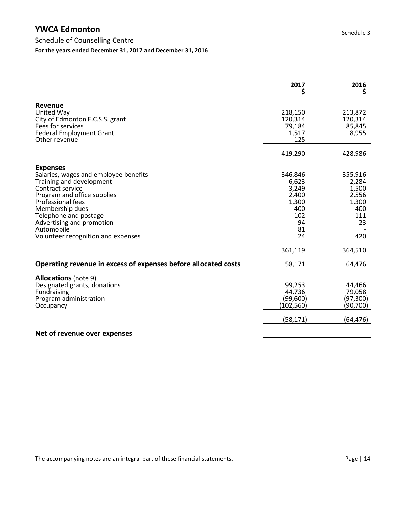|                                                                                                                                                                                                                                                                                           | 2017<br>Ş                                                                   | 2016<br>Ş                                                              |
|-------------------------------------------------------------------------------------------------------------------------------------------------------------------------------------------------------------------------------------------------------------------------------------------|-----------------------------------------------------------------------------|------------------------------------------------------------------------|
| Revenue<br>United Way<br>City of Edmonton F.C.S.S. grant<br>Fees for services<br><b>Federal Employment Grant</b><br>Other revenue                                                                                                                                                         | 218,150<br>120,314<br>79,184<br>1,517<br>125                                | 213,872<br>120,314<br>85,845<br>8,955                                  |
|                                                                                                                                                                                                                                                                                           | 419,290                                                                     | 428,986                                                                |
| <b>Expenses</b><br>Salaries, wages and employee benefits<br>Training and development<br>Contract service<br>Program and office supplies<br>Professional fees<br>Membership dues<br>Telephone and postage<br>Advertising and promotion<br>Automobile<br>Volunteer recognition and expenses | 346,846<br>6,623<br>3,249<br>2,400<br>1,300<br>400<br>102<br>94<br>81<br>24 | 355,916<br>2,284<br>1,500<br>2,556<br>1,300<br>400<br>111<br>23<br>420 |
|                                                                                                                                                                                                                                                                                           | 361,119                                                                     | 364,510                                                                |
| Operating revenue in excess of expenses before allocated costs                                                                                                                                                                                                                            | 58,171                                                                      | 64,476                                                                 |
| <b>Allocations</b> (note 9)<br>Designated grants, donations<br>Fundraising<br>Program administration<br>Occupancy                                                                                                                                                                         | 99,253<br>44,736<br>(99,600)<br>(102,560)<br>(58, 171)                      | 44,466<br>79,058<br>(97, 300)<br>(90,700)<br>(64,476)                  |
| Net of revenue over expenses                                                                                                                                                                                                                                                              |                                                                             |                                                                        |

The accompanying notes are an integral part of these financial statements. The accompanying notes are an integral part of these financial statements.